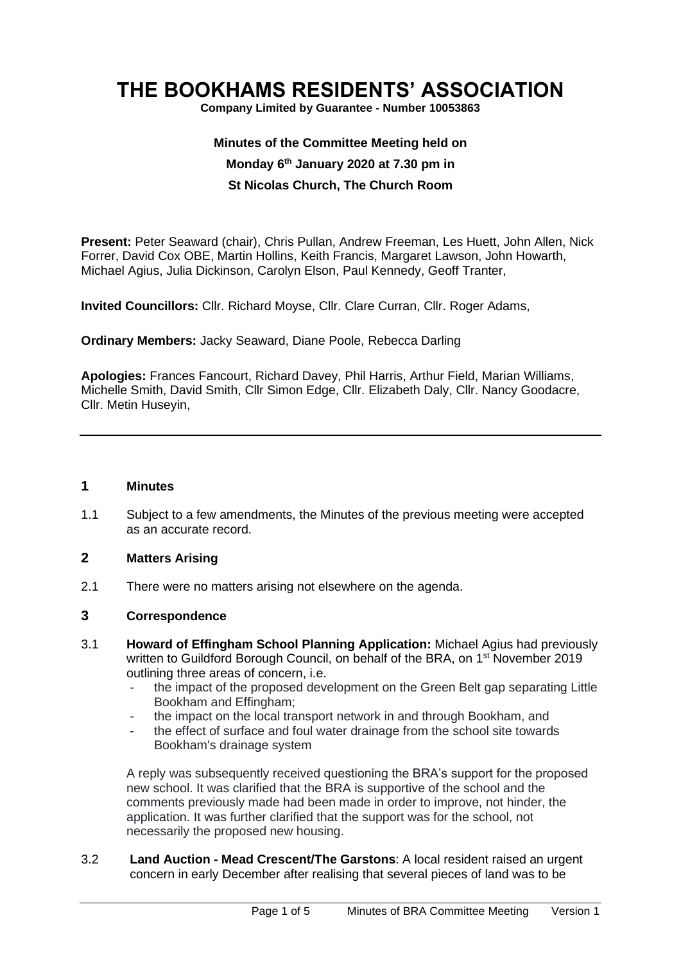# **THE BOOKHAMS RESIDENTS' ASSOCIATION**

**Company Limited by Guarantee - Number 10053863**

# **Minutes of the Committee Meeting held on Monday 6 th January 2020 at 7.30 pm in St Nicolas Church, The Church Room**

**Present:** Peter Seaward (chair), Chris Pullan, Andrew Freeman, Les Huett, John Allen, Nick Forrer, David Cox OBE, Martin Hollins, Keith Francis, Margaret Lawson, John Howarth, Michael Agius, Julia Dickinson, Carolyn Elson, Paul Kennedy, Geoff Tranter,

**Invited Councillors:** Cllr. Richard Moyse, Cllr. Clare Curran, Cllr. Roger Adams,

**Ordinary Members:** Jacky Seaward, Diane Poole, Rebecca Darling

**Apologies:** Frances Fancourt, Richard Davey, Phil Harris, Arthur Field, Marian Williams, Michelle Smith, David Smith, Cllr Simon Edge, Cllr. Elizabeth Daly, Cllr. Nancy Goodacre, Cllr. Metin Huseyin,

#### **1 Minutes**

1.1 Subject to a few amendments, the Minutes of the previous meeting were accepted as an accurate record.

# **2 Matters Arising**

2.1 There were no matters arising not elsewhere on the agenda.

#### **3 Correspondence**

- 3.1 **Howard of Effingham School Planning Application:** Michael Agius had previously written to Guildford Borough Council, on behalf of the BRA, on 1<sup>st</sup> November 2019 outlining three areas of concern, i.e.
	- the impact of the proposed development on the Green Belt gap separating Little Bookham and Effingham;
	- the impact on the local transport network in and through Bookham, and
	- the effect of surface and foul water drainage from the school site towards Bookham's drainage system

A reply was subsequently received questioning the BRA's support for the proposed new school. It was clarified that the BRA is supportive of the school and the comments previously made had been made in order to improve, not hinder, the application. It was further clarified that the support was for the school, not necessarily the proposed new housing.

3.2 **Land Auction - Mead Crescent/The Garstons**: A local resident raised an urgent concern in early December after realising that several pieces of land was to be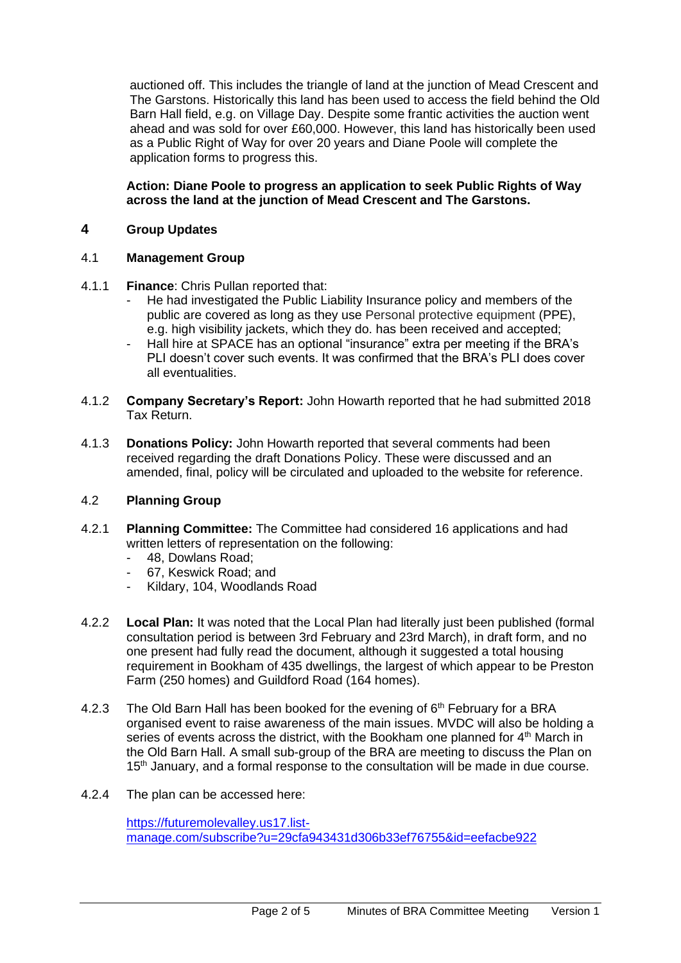auctioned off. This includes the triangle of land at the junction of Mead Crescent and The Garstons. Historically this land has been used to access the field behind the Old Barn Hall field, e.g. on Village Day. Despite some frantic activities the auction went ahead and was sold for over £60,000. However, this land has historically been used as a Public Right of Way for over 20 years and Diane Poole will complete the application forms to progress this.

**Action: Diane Poole to progress an application to seek Public Rights of Way across the land at the junction of Mead Crescent and The Garstons.**

## **4 Group Updates**

#### 4.1 **Management Group**

- 4.1.1 **Finance**: Chris Pullan reported that:
	- He had investigated the Public Liability Insurance policy and members of the public are covered as long as they use Personal protective equipment (PPE), e.g. high visibility jackets, which they do. has been received and accepted;
	- Hall hire at SPACE has an optional "insurance" extra per meeting if the BRA's PLI doesn't cover such events. It was confirmed that the BRA's PLI does cover all eventualities.
- 4.1.2 **Company Secretary's Report:** John Howarth reported that he had submitted 2018 Tax Return.
- 4.1.3 **Donations Policy:** John Howarth reported that several comments had been received regarding the draft Donations Policy. These were discussed and an amended, final, policy will be circulated and uploaded to the website for reference.

#### 4.2 **Planning Group**

- 4.2.1 **Planning Committee:** The Committee had considered 16 applications and had written letters of representation on the following:
	- 48, Dowlans Road;
	- 67. Keswick Road: and
	- Kildary, 104, Woodlands Road
- 4.2.2 **Local Plan:** It was noted that the Local Plan had literally just been published (formal consultation period is between 3rd February and 23rd March), in draft form, and no one present had fully read the document, although it suggested a total housing requirement in Bookham of 435 dwellings, the largest of which appear to be Preston Farm (250 homes) and Guildford Road (164 homes).
- 4.2.3 The Old Barn Hall has been booked for the evening of  $6<sup>th</sup>$  February for a BRA organised event to raise awareness of the main issues. MVDC will also be holding a series of events across the district, with the Bookham one planned for 4<sup>th</sup> March in the Old Barn Hall. A small sub-group of the BRA are meeting to discuss the Plan on 15<sup>th</sup> January, and a formal response to the consultation will be made in due course.
- 4.2.4 The plan can be accessed here:

[https://futuremolevalley.us17.list](https://futuremolevalley.us17.list-manage.com/subscribe?u=29cfa943431d306b33ef76755&id=eefacbe922)[manage.com/subscribe?u=29cfa943431d306b33ef76755&id=eefacbe922](https://futuremolevalley.us17.list-manage.com/subscribe?u=29cfa943431d306b33ef76755&id=eefacbe922)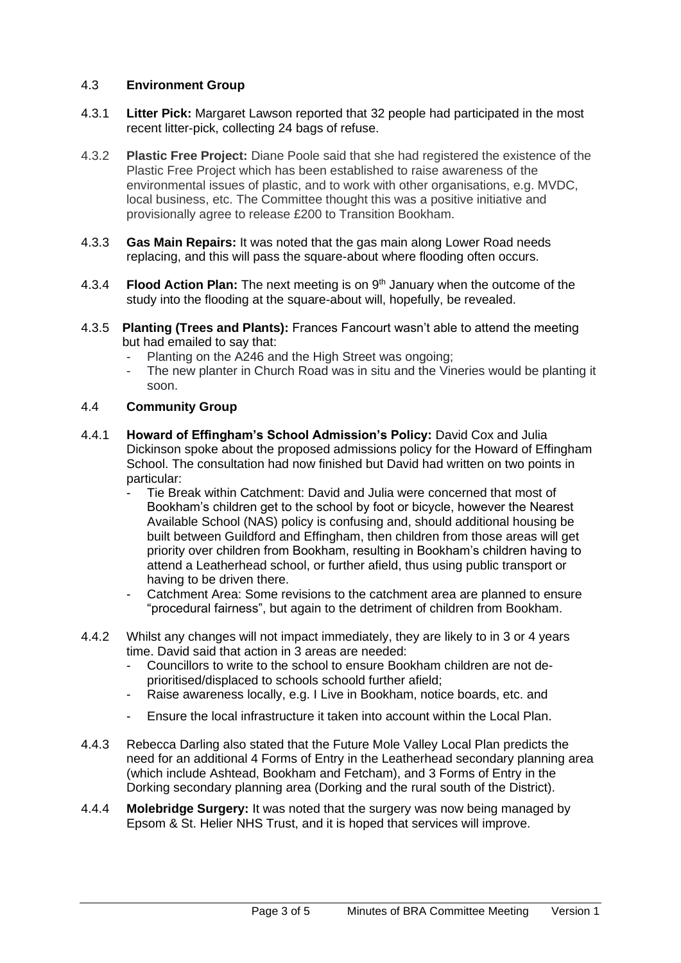# 4.3 **Environment Group**

- 4.3.1 **Litter Pick:** Margaret Lawson reported that 32 people had participated in the most recent litter-pick, collecting 24 bags of refuse.
- 4.3.2 **Plastic Free Project:** Diane Poole said that she had registered the existence of the Plastic Free Project which has been established to raise awareness of the environmental issues of plastic, and to work with other organisations, e.g. MVDC, local business, etc. The Committee thought this was a positive initiative and provisionally agree to release £200 to Transition Bookham.
- 4.3.3 **Gas Main Repairs:** It was noted that the gas main along Lower Road needs replacing, and this will pass the square-about where flooding often occurs.
- 4.3.4 **Flood Action Plan:** The next meeting is on 9th January when the outcome of the study into the flooding at the square-about will, hopefully, be revealed.
- 4.3.5 **Planting (Trees and Plants):** Frances Fancourt wasn't able to attend the meeting but had emailed to say that:
	- Planting on the A246 and the High Street was ongoing;
	- The new planter in Church Road was in situ and the Vineries would be planting it soon.

## 4.4 **Community Group**

- 4.4.1 **Howard of Effingham's School Admission's Policy:** David Cox and Julia Dickinson spoke about the proposed admissions policy for the Howard of Effingham School. The consultation had now finished but David had written on two points in particular:
	- Tie Break within Catchment: David and Julia were concerned that most of Bookham's children get to the school by foot or bicycle, however the Nearest Available School (NAS) policy is confusing and, should additional housing be built between Guildford and Effingham, then children from those areas will get priority over children from Bookham, resulting in Bookham's children having to attend a Leatherhead school, or further afield, thus using public transport or having to be driven there.
	- Catchment Area: Some revisions to the catchment area are planned to ensure "procedural fairness", but again to the detriment of children from Bookham.
- 4.4.2 Whilst any changes will not impact immediately, they are likely to in 3 or 4 years time. David said that action in 3 areas are needed:
	- Councillors to write to the school to ensure Bookham children are not deprioritised/displaced to schools schoold further afield;
	- Raise awareness locally, e.g. I Live in Bookham, notice boards, etc. and
	- Ensure the local infrastructure it taken into account within the Local Plan.
- 4.4.3 Rebecca Darling also stated that the Future Mole Valley Local Plan predicts the need for an additional 4 Forms of Entry in the Leatherhead secondary planning area (which include Ashtead, Bookham and Fetcham), and 3 Forms of Entry in the Dorking secondary planning area (Dorking and the rural south of the District).
- 4.4.4 **Molebridge Surgery:** It was noted that the surgery was now being managed by Epsom & St. Helier NHS Trust, and it is hoped that services will improve.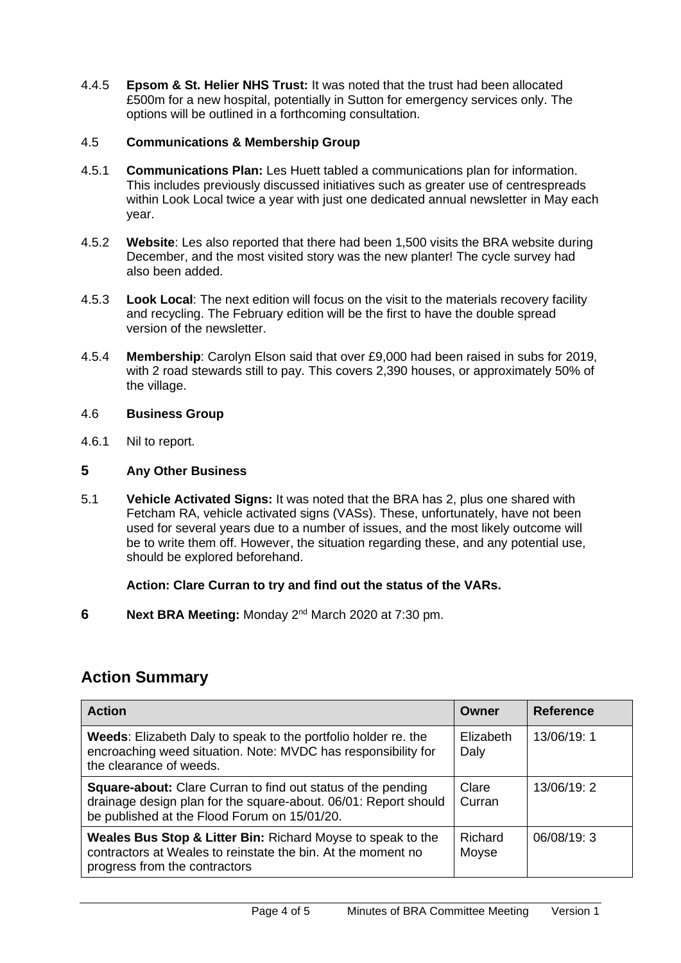4.4.5 **Epsom & St. Helier NHS Trust:** It was noted that the trust had been allocated £500m for a new hospital, potentially in Sutton for emergency services only. The options will be outlined in a forthcoming consultation.

## 4.5 **Communications & Membership Group**

- 4.5.1 **Communications Plan:** Les Huett tabled a communications plan for information. This includes previously discussed initiatives such as greater use of centrespreads within Look Local twice a year with just one dedicated annual newsletter in May each year.
- 4.5.2 **Website**: Les also reported that there had been 1,500 visits the BRA website during December, and the most visited story was the new planter! The cycle survey had also been added.
- 4.5.3 **Look Local**: The next edition will focus on the visit to the materials recovery facility and recycling. The February edition will be the first to have the double spread version of the newsletter.
- 4.5.4 **Membership**: Carolyn Elson said that over £9,000 had been raised in subs for 2019, with 2 road stewards still to pay. This covers 2,390 houses, or approximately 50% of the village.

#### 4.6 **Business Group**

4.6.1 Nil to report.

#### **5 Any Other Business**

5.1 **Vehicle Activated Signs:** It was noted that the BRA has 2, plus one shared with Fetcham RA, vehicle activated signs (VASs). These, unfortunately, have not been used for several years due to a number of issues, and the most likely outcome will be to write them off. However, the situation regarding these, and any potential use, should be explored beforehand.

# **Action: Clare Curran to try and find out the status of the VARs.**

**6** Next BRA Meeting: Monday 2<sup>nd</sup> March 2020 at 7:30 pm.

# **Action Summary**

| <b>Action</b>                                                                                                                                                                   | <b>Owner</b>      | <b>Reference</b> |
|---------------------------------------------------------------------------------------------------------------------------------------------------------------------------------|-------------------|------------------|
| Weeds: Elizabeth Daly to speak to the portfolio holder re. the<br>encroaching weed situation. Note: MVDC has responsibility for<br>the clearance of weeds.                      | Elizabeth<br>Daly | 13/06/19:1       |
| Square-about: Clare Curran to find out status of the pending<br>drainage design plan for the square-about. 06/01: Report should<br>be published at the Flood Forum on 15/01/20. | Clare<br>Curran   | 13/06/19:2       |
| Weales Bus Stop & Litter Bin: Richard Moyse to speak to the<br>contractors at Weales to reinstate the bin. At the moment no<br>progress from the contractors                    | Richard<br>Moyse  | 06/08/19:3       |